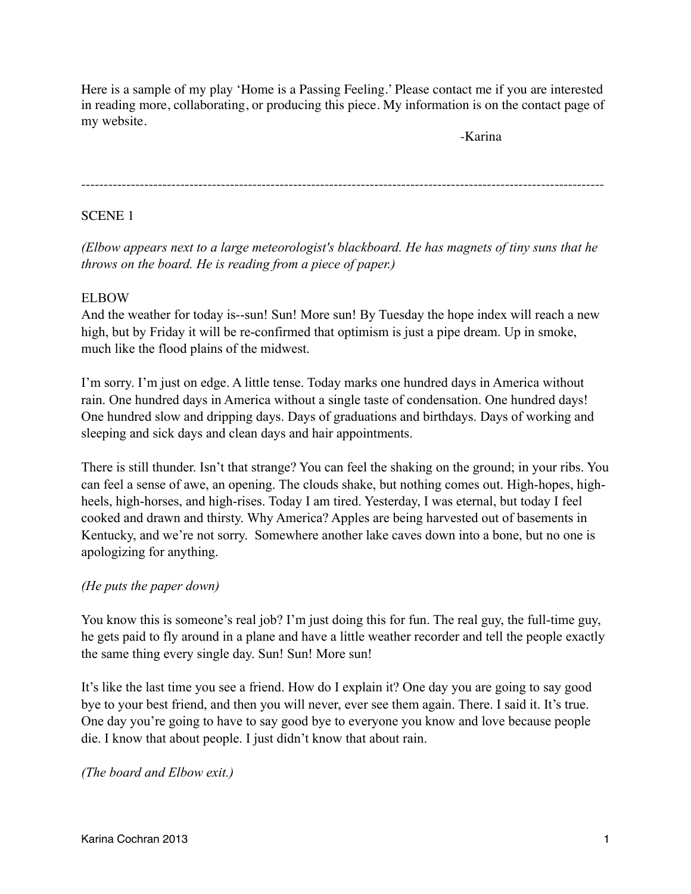Here is a sample of my play 'Home is a Passing Feeling.' Please contact me if you are interested in reading more, collaborating, or producing this piece. My information is on the contact page of my website.

! ! ! ! ! ! ! ! ! ! ! ! -Karina

--------------------------------------------------------------------------------------------------------------------

### SCENE 1

*(Elbow appears next to a large meteorologist's blackboard. He has magnets of tiny suns that he throws on the board. He is reading from a piece of paper.)*

### ELBOW

And the weather for today is--sun! Sun! More sun! By Tuesday the hope index will reach a new high, but by Friday it will be re-confirmed that optimism is just a pipe dream. Up in smoke, much like the flood plains of the midwest.

I'm sorry. I'm just on edge. A little tense. Today marks one hundred days in America without rain. One hundred days in America without a single taste of condensation. One hundred days! One hundred slow and dripping days. Days of graduations and birthdays. Days of working and sleeping and sick days and clean days and hair appointments.

There is still thunder. Isn't that strange? You can feel the shaking on the ground; in your ribs. You can feel a sense of awe, an opening. The clouds shake, but nothing comes out. High-hopes, highheels, high-horses, and high-rises. Today I am tired. Yesterday, I was eternal, but today I feel cooked and drawn and thirsty. Why America? Apples are being harvested out of basements in Kentucky, and we're not sorry. Somewhere another lake caves down into a bone, but no one is apologizing for anything.

### *(He puts the paper down)*

You know this is someone's real job? I'm just doing this for fun. The real guy, the full-time guy, he gets paid to fly around in a plane and have a little weather recorder and tell the people exactly the same thing every single day. Sun! Sun! More sun!

It's like the last time you see a friend. How do I explain it? One day you are going to say good bye to your best friend, and then you will never, ever see them again. There. I said it. It's true. One day you're going to have to say good bye to everyone you know and love because people die. I know that about people. I just didn't know that about rain.

*(The board and Elbow exit.)*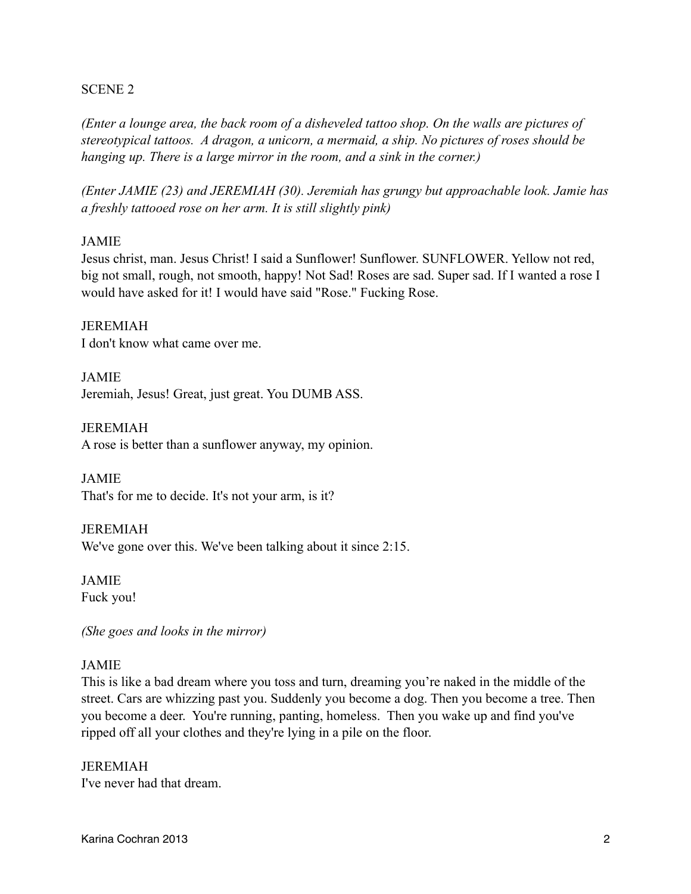#### SCENE 2

*(Enter a lounge area, the back room of a disheveled tattoo shop. On the walls are pictures of stereotypical tattoos. A dragon, a unicorn, a mermaid, a ship. No pictures of roses should be hanging up. There is a large mirror in the room, and a sink in the corner.)*

*(Enter JAMIE (23) and JEREMIAH (30). Jeremiah has grungy but approachable look. Jamie has a freshly tattooed rose on her arm. It is still slightly pink)*

#### JAMIE

Jesus christ, man. Jesus Christ! I said a Sunflower! Sunflower. SUNFLOWER. Yellow not red, big not small, rough, not smooth, happy! Not Sad! Roses are sad. Super sad. If I wanted a rose I would have asked for it! I would have said "Rose." Fucking Rose.

JEREMIAH I don't know what came over me.

JAMIE Jeremiah, Jesus! Great, just great. You DUMB ASS.

JEREMIAH A rose is better than a sunflower anyway, my opinion.

JAMIE That's for me to decide. It's not your arm, is it?

JEREMIAH We've gone over this. We've been talking about it since 2:15.

JAMIE Fuck you!

*(She goes and looks in the mirror)*

### JAMIE

This is like a bad dream where you toss and turn, dreaming you're naked in the middle of the street. Cars are whizzing past you. Suddenly you become a dog. Then you become a tree. Then you become a deer. You're running, panting, homeless. Then you wake up and find you've ripped off all your clothes and they're lying in a pile on the floor.

JEREMIAH I've never had that dream.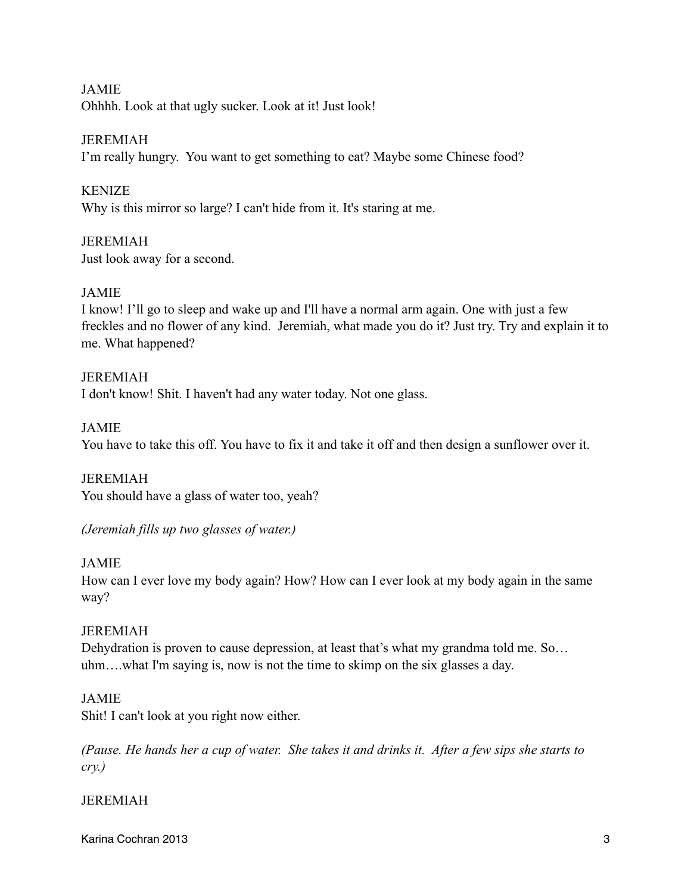JAMIE Ohhhh. Look at that ugly sucker. Look at it! Just look!

JEREMIAH

I'm really hungry. You want to get something to eat? Maybe some Chinese food?

KENIZE

Why is this mirror so large? I can't hide from it. It's staring at me.

JEREMIAH Just look away for a second.

## JAMIE

I know! I'll go to sleep and wake up and I'll have a normal arm again. One with just a few freckles and no flower of any kind. Jeremiah, what made you do it? Just try. Try and explain it to me. What happened?

JEREMIAH I don't know! Shit. I haven't had any water today. Not one glass.

JAMIE

You have to take this off. You have to fix it and take it off and then design a sunflower over it.

JEREMIAH You should have a glass of water too, yeah?

*(Jeremiah fills up two glasses of water.)*

JAMIE

How can I ever love my body again? How? How can I ever look at my body again in the same way?

# JEREMIAH

Dehydration is proven to cause depression, at least that's what my grandma told me. So… uhm….what I'm saying is, now is not the time to skimp on the six glasses a day.

### JAMIE

Shit! I can't look at you right now either.

*(Pause. He hands her a cup of water. She takes it and drinks it. After a few sips she starts to cry.)*

### JEREMIAH

Karina Cochran 2013 3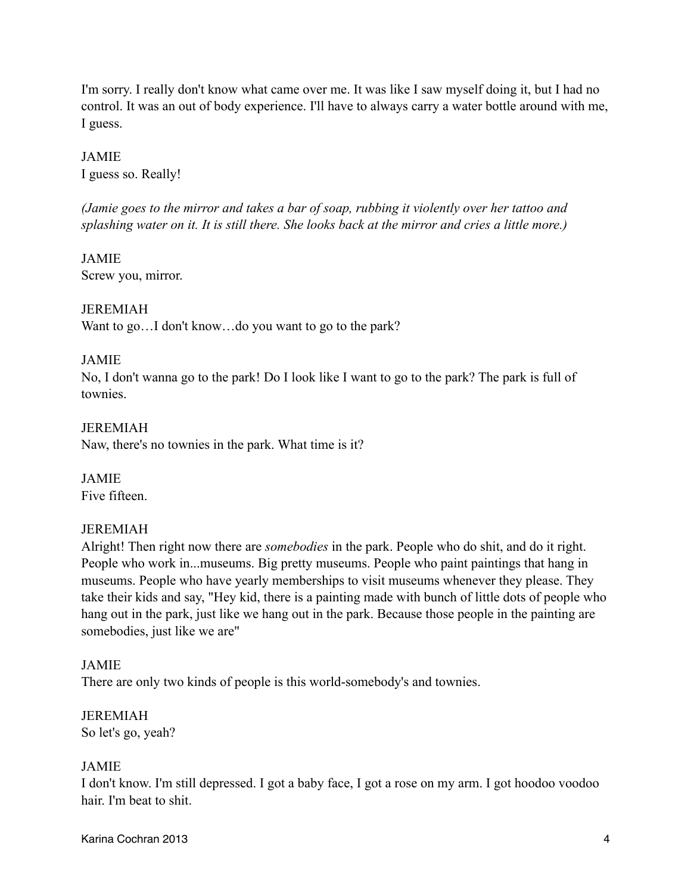I'm sorry. I really don't know what came over me. It was like I saw myself doing it, but I had no control. It was an out of body experience. I'll have to always carry a water bottle around with me, I guess.

JAMIE I guess so. Really!

*(Jamie goes to the mirror and takes a bar of soap, rubbing it violently over her tattoo and splashing water on it. It is still there. She looks back at the mirror and cries a little more.)*

JAMIE Screw you, mirror.

## JEREMIAH

Want to go...I don't know...do you want to go to the park?

### JAMIE

No, I don't wanna go to the park! Do I look like I want to go to the park? The park is full of townies.

## JEREMIAH

Naw, there's no townies in the park. What time is it?

JAMIE Five fifteen.

### JEREMIAH

Alright! Then right now there are *somebodies* in the park. People who do shit, and do it right. People who work in...museums. Big pretty museums. People who paint paintings that hang in museums. People who have yearly memberships to visit museums whenever they please. They take their kids and say, "Hey kid, there is a painting made with bunch of little dots of people who hang out in the park, just like we hang out in the park. Because those people in the painting are somebodies, just like we are"

### JAMIE

There are only two kinds of people is this world-somebody's and townies.

JEREMIAH So let's go, yeah?

### JAMIE

I don't know. I'm still depressed. I got a baby face, I got a rose on my arm. I got hoodoo voodoo hair. I'm beat to shit.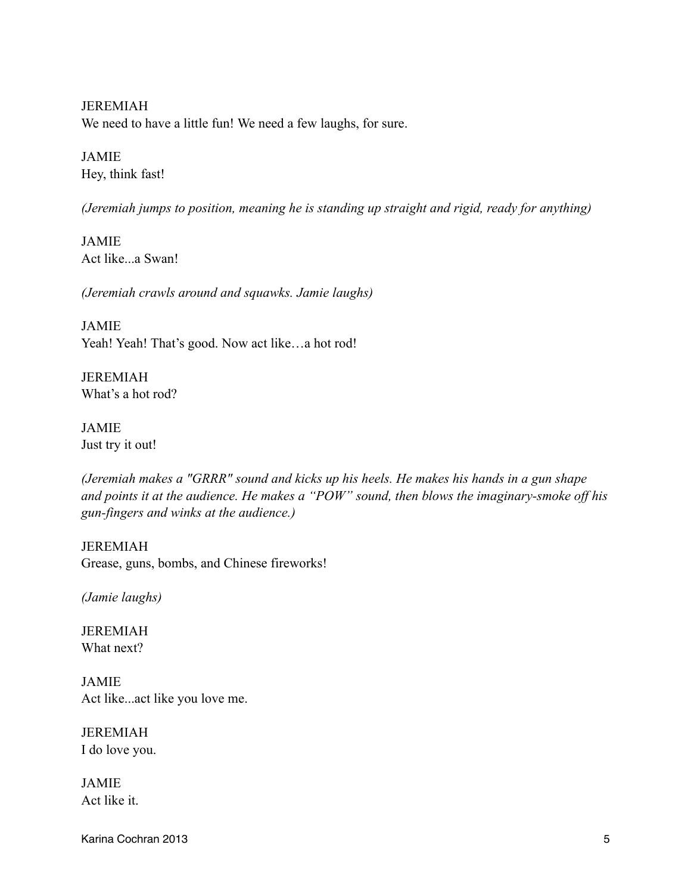JEREMIAH We need to have a little fun! We need a few laughs, for sure.

JAMIE Hey, think fast!

*(Jeremiah jumps to position, meaning he is standing up straight and rigid, ready for anything)*

JAMIE Act like...a Swan!

*(Jeremiah crawls around and squawks. Jamie laughs)* 

JAMIE Yeah! Yeah! That's good. Now act like...a hot rod!

JEREMIAH What's a hot rod?

JAMIE Just try it out!

*(Jeremiah makes a "GRRR" sound and kicks up his heels. He makes his hands in a gun shape and points it at the audience. He makes a "POW" sound, then blows the imaginary-smoke off his gun-fingers and winks at the audience.)*

JEREMIAH Grease, guns, bombs, and Chinese fireworks!

*(Jamie laughs)* 

JEREMIAH What next?

JAMIE Act like...act like you love me.

JEREMIAH I do love you.

JAMIE Act like it.

Karina Cochran 2013 5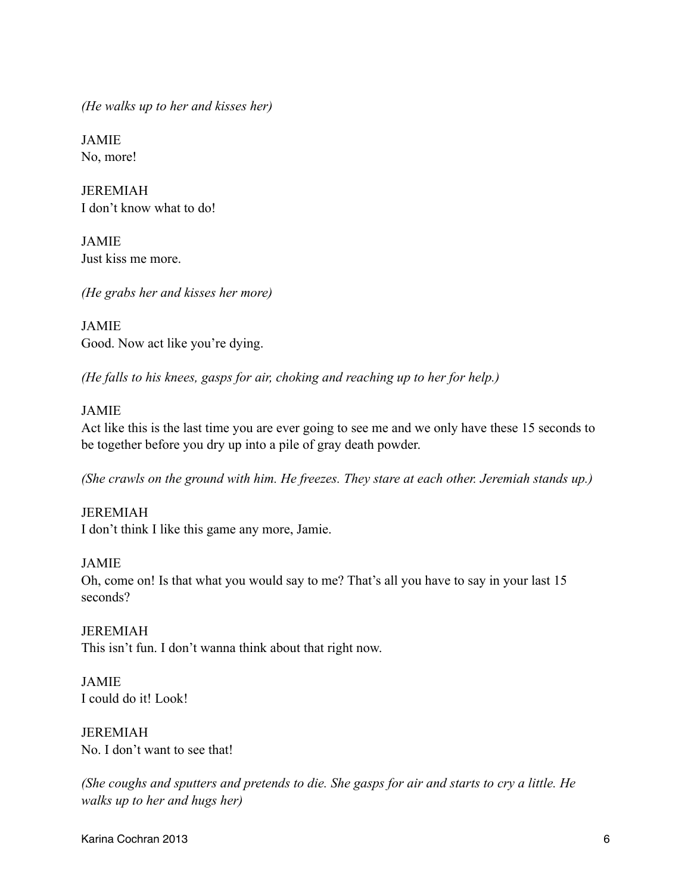*(He walks up to her and kisses her)*

JAMIE No, more!

JEREMIAH I don't know what to do!

JAMIE Just kiss me more.

*(He grabs her and kisses her more)*

JAMIE Good. Now act like you're dying.

*(He falls to his knees, gasps for air, choking and reaching up to her for help.)*

### JAMIE

Act like this is the last time you are ever going to see me and we only have these 15 seconds to be together before you dry up into a pile of gray death powder.

*(She crawls on the ground with him. He freezes. They stare at each other. Jeremiah stands up.)*

JEREMIAH I don't think I like this game any more, Jamie.

JAMIE

Oh, come on! Is that what you would say to me? That's all you have to say in your last 15 seconds?

JEREMIAH This isn't fun. I don't wanna think about that right now.

JAMIE I could do it! Look!

JEREMIAH No. I don't want to see that!

*(She coughs and sputters and pretends to die. She gasps for air and starts to cry a little. He walks up to her and hugs her)*

Karina Cochran 2013 6